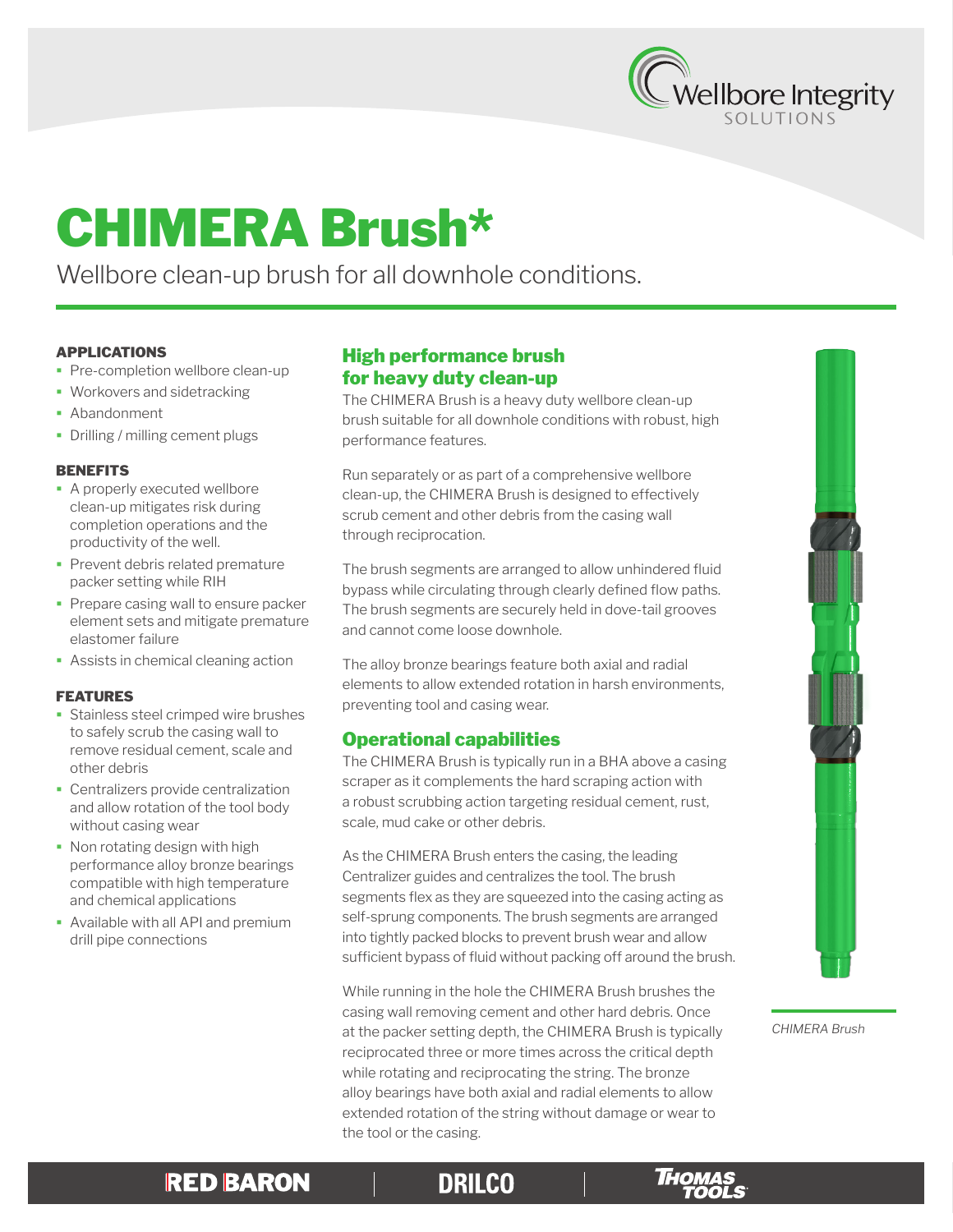

# CHIMERA Brush\*

Wellbore clean-up brush for all downhole conditions.

### APPLICATIONS

- **Pre-completion wellbore clean-up**
- **Workovers and sidetracking**
- **Abandonment**
- Drilling / milling cement plugs

#### **BENEFITS**

- **A properly executed wellbore** clean-up mitigates risk during completion operations and the productivity of the well.
- **Prevent debris related premature** packer setting while RIH
- **Prepare casing wall to ensure packer** element sets and mitigate premature elastomer failure
- **Assists in chemical cleaning action**

### FEATURES

- **Stainless steel crimped wire brushes** to safely scrub the casing wall to remove residual cement, scale and other debris
- **Centralizers provide centralization** and allow rotation of the tool body without casing wear
- Non rotating design with high performance alloy bronze bearings compatible with high temperature and chemical applications
- Available with all API and premium drill pipe connections

# High performance brush for heavy duty clean-up

The CHIMERA Brush is a heavy duty wellbore clean-up brush suitable for all downhole conditions with robust, high performance features.

Run separately or as part of a comprehensive wellbore clean-up, the CHIMERA Brush is designed to effectively scrub cement and other debris from the casing wall through reciprocation.

The brush segments are arranged to allow unhindered fluid bypass while circulating through clearly defined flow paths. The brush segments are securely held in dove-tail grooves and cannot come loose downhole.

The alloy bronze bearings feature both axial and radial elements to allow extended rotation in harsh environments, preventing tool and casing wear.

## Operational capabilities

The CHIMERA Brush is typically run in a BHA above a casing scraper as it complements the hard scraping action with a robust scrubbing action targeting residual cement, rust, scale, mud cake or other debris.

As the CHIMERA Brush enters the casing, the leading Centralizer guides and centralizes the tool. The brush segments flex as they are squeezed into the casing acting as self-sprung components. The brush segments are arranged into tightly packed blocks to prevent brush wear and allow sufficient bypass of fluid without packing off around the brush.

While running in the hole the CHIMERA Brush brushes the casing wall removing cement and other hard debris. Once at the packer setting depth, the CHIMERA Brush is typically reciprocated three or more times across the critical depth while rotating and reciprocating the string. The bronze alloy bearings have both axial and radial elements to allow extended rotation of the string without damage or wear to the tool or the casing.



*CHIMERA Brush*

# **RED BARON**